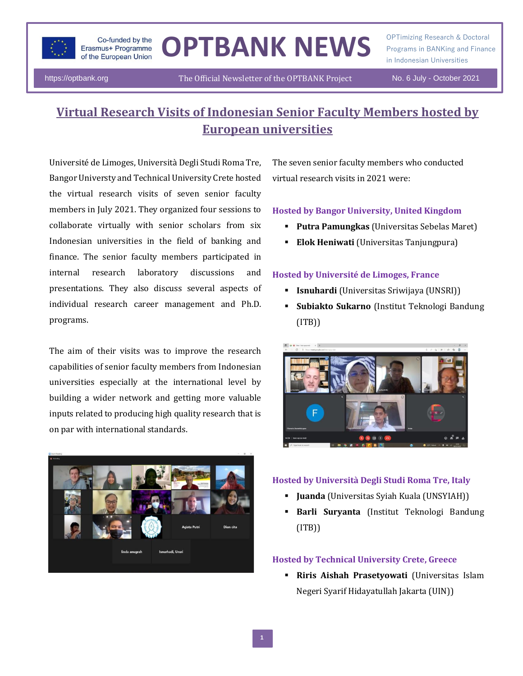

# OPTBANK NEWS **Programs in BANKing and Finance**

OPTimizing Research & Doctoral in Indonesian Universities

https://optbank.org The Official Newsletter of the OPTBANK Project No. 6 July - October 2021

# **Virtual Research Visits of Indonesian Senior Faculty Members hosted by European universities**

Université de Limoges, Università Degli Studi Roma Tre, Bangor Universty and Technical University Crete hosted the virtual research visits of seven senior faculty members in July 2021. They organized four sessions to collaborate virtually with senior scholars from six Indonesian universities in the field of banking and finance. The senior faculty members participated in internal research laboratory discussions and presentations. They also discuss several aspects of individual research career management and Ph.D. programs.

The aim of their visits was to improve the research capabilities of senior faculty members from Indonesian universities especially at the international level by building a wider network and getting more valuable inputs related to producing high quality research that is on par with international standards.



The seven senior faculty members who conducted virtual research visits in 2021 were:

#### **Hosted by Bangor University, United Kingdom**

- **Putra Pamungkas** (Universitas Sebelas Maret)
- **Elok Heniwati** (Universitas Tanjungpura)

#### **Hosted by Université de Limoges, France**

- **Isnuhardi** (Universitas Sriwijaya (UNSRI))
- **Subiakto Sukarno** (Institut Teknologi Bandung (ITB))



#### **Hosted by Università Degli Studi Roma Tre, Italy**

- **Juanda** (Universitas Syiah Kuala (UNSYIAH))
- Barli Suryanta (Institut Teknologi Bandung (ITB))

### **Hosted by Technical University Crete, Greece**

▪ **Riris Aishah Prasetyowati** (Universitas Islam Negeri Syarif Hidayatullah Jakarta (UIN))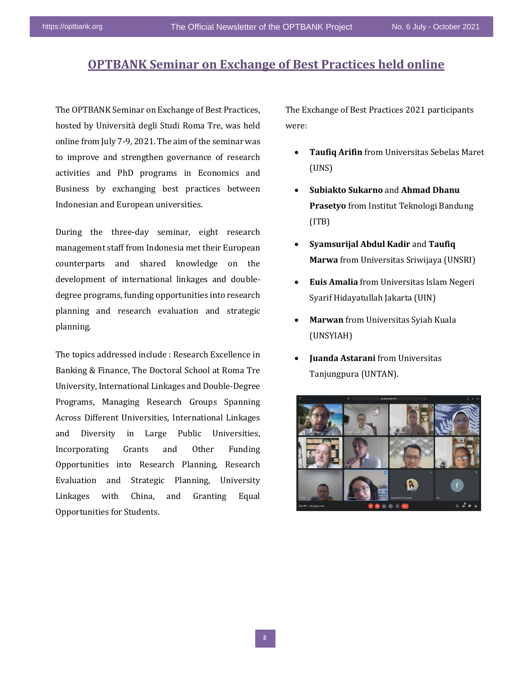## **OPTBANK Seminar on Exchange of Best Practices held online**

The OPTBANK Seminar on Exchange of Best Practices, hosted by Università degli Studi Roma Tre, was held online from July 7-9, 2021. The aim of the seminar was to improve and strengthen governance of research activities and PhD programs in Economics and Business by exchanging best practices between Indonesian and European universities.

During the three-day seminar, eight research management staff from Indonesia met their European counterparts and shared knowledge on the development of international linkages and doubledegree programs, funding opportunities into research planning and research evaluation and strategic planning.

The topics addressed include : Research Excellence in Banking & Finance, The Doctoral School at Roma Tre University, International Linkages and Double-Degree Programs, Managing Research Groups Spanning Across Different Universities, International Linkages and Diversity in Large Public Universities, Incorporating Grants and Other Funding Opportunities into Research Planning, Research Evaluation and Strategic Planning, University Linkages with China, and Granting Equal Opportunities for Students.

The Exchange of Best Practices 2021 participants were:

- **Taufiq Arifin** from Universitas Sebelas Maret (UNS)
- **Subiakto Sukarno** and **Ahmad Dhanu Prasetyo** from Institut Teknologi Bandung (ITB)
- **Syamsurijal Abdul Kadir** and **Taufiq Marwa** from Universitas Sriwijaya (UNSRI)
- **Euis Amalia** from Universitas Islam Negeri Syarif Hidayatullah Jakarta (UIN)
- **Marwan** from Universitas Syiah Kuala (UNSYIAH)
- **Juanda Astarani** from Universitas Tanjungpura (UNTAN).

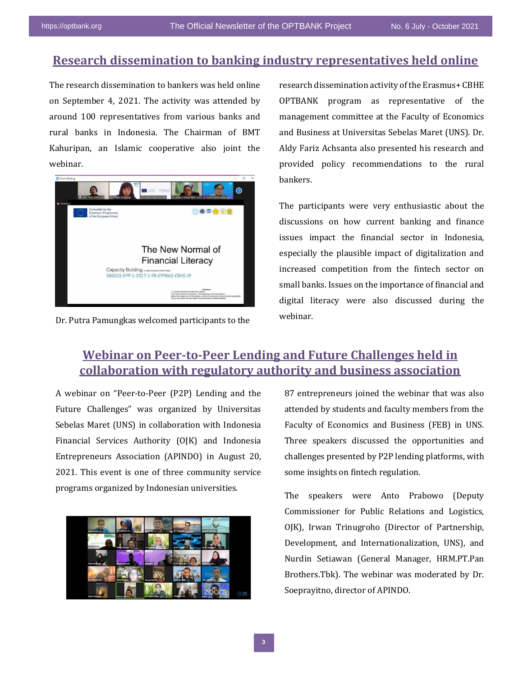## **Research dissemination to banking industry representatives held online**

The research dissemination to bankers was held online on September 4, 2021. The activity was attended by around 100 representatives from various banks and rural banks in Indonesia. The Chairman of BMT Kahuripan, an Islamic cooperative also joint the webinar.



Dr. Putra Pamungkas welcomed participants to the

research dissemination activity of the Erasmus+ CBHE OPTBANK program as representative of the management committee at the Faculty of Economics and Business at Universitas Sebelas Maret (UNS). Dr. Aldy Fariz Achsanta also presented his research and provided policy recommendations to the rural bankers.

The participants were very enthusiastic about the discussions on how current banking and finance issues impact the financial sector in Indonesia, especially the plausible impact of digitalization and increased competition from the fintech sector on small banks. Issues on the importance of financial and digital literacy were also discussed during the webinar.

# The OPTBANK Final Conference and Final Evaluation **collaboration with regulatory authority and business association Webinar on Peer-to-Peer Lending and Future Challenges held in**

A webinar on "Peer-to-Peer (P2P) Lending and the Future Challenges" was organized by Universitas Sebelas Maret (UNS) in collaboration with Indonesia Financial Services Authority (OJK) and Indonesia Entrepreneurs Association (APINDO) in August 20, 2021. This event is one of three community service programs organized by Indonesian universities.



87 entrepreneurs joined the webinar that was also attended by students and faculty members from the Faculty of Economics and Business (FEB) in UNS. Three speakers discussed the opportunities and challenges presented by P2P lending platforms, with some insights on fintech regulation.

The speakers were Anto Prabowo (Deputy Commissioner for Public Relations and Logistics, OJK), Irwan Trinugroho (Director of Partnership, Development, and Internationalization, UNS), and Nurdin Setiawan (General Manager, HRM.PT.Pan Brothers.Tbk). The webinar was moderated by Dr. Soeprayitno, director of APINDO.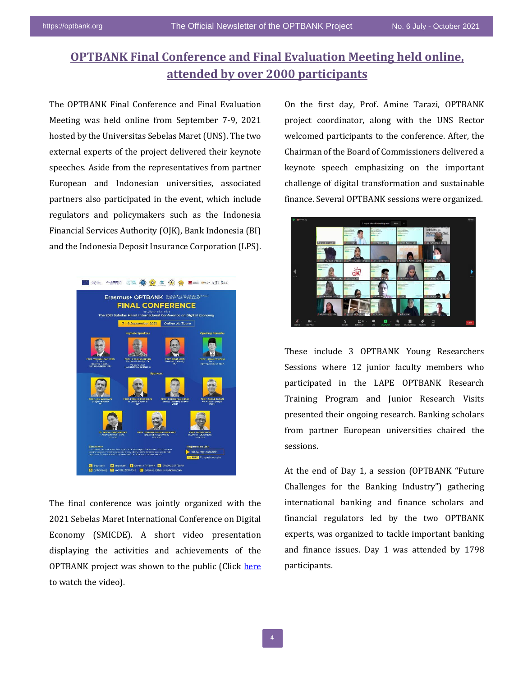## **OPTBANK Final Conference and Final Evaluation Meeting held online, attended by over 2000 participants**

The OPTBANK Final Conference and Final Evaluation Meeting was held online from September 7-9, 2021 hosted by the Universitas Sebelas Maret (UNS). The two external experts of the project delivered their keynote speeches. Aside from the representatives from partner European and Indonesian universities, associated partners also participated in the event, which include regulators and policymakers such as the Indonesia Financial Services Authority (OJK), Bank Indonesia (BI) and the Indonesia Deposit Insurance Corporation (LPS).



The final conference was jointly organized with the 2021 Sebelas Maret International Conference on Digital Economy (SMICDE). A short video presentation displaying the activities and achievements of the OPTBANK project was shown to the public (Click [here](https://www.youtube.com/watch?v=pOawGcdm5ek) to watch the video).

On the first day, Prof. Amine Tarazi, OPTBANK project coordinator, along with the UNS Rector welcomed participants to the conference. After, the Chairman of the Board of Commissioners delivered a keynote speech emphasizing on the important challenge of digital transformation and sustainable finance. Several OPTBANK sessions were organized.



These include 3 OPTBANK Young Researchers Sessions where 12 junior faculty members who participated in the LAPE OPTBANK Research Training Program and Junior Research Visits presented their ongoing research. Banking scholars from partner European universities chaired the sessions.

At the end of Day 1, a session (OPTBANK "Future Challenges for the Banking Industry") gathering international banking and finance scholars and financial regulators led by the two OPTBANK experts, was organized to tackle important banking and finance issues. Day 1 was attended by 1798 participants.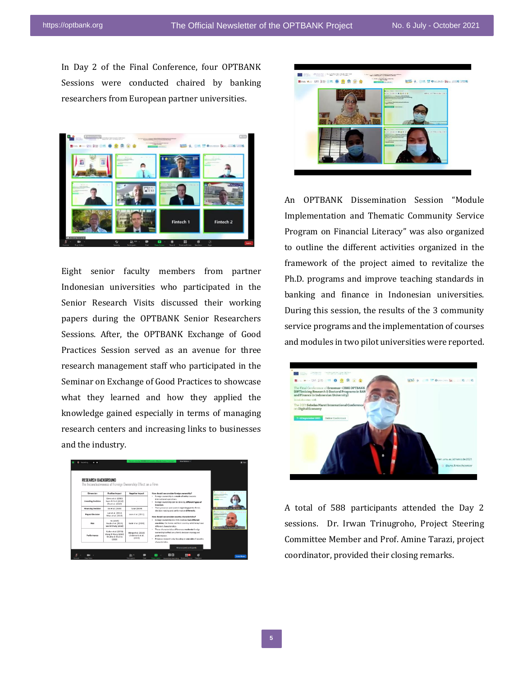In Day 2 of the Final Conference, four OPTBANK Sessions were conducted chaired by banking researchers from European partner universities.



Eight senior faculty members from partner Indonesian universities who participated in the Senior Research Visits discussed their working papers during the OPTBANK Senior Researchers Sessions. After, the OPTBANK Exchange of Good Practices Session served as an avenue for three research management staff who participated in the Seminar on Exchange of Good Practices to showcase what they learned and how they applied the knowledge gained especially in terms of managing research centers and increasing links to businesses and the industry.

| <b>RESEARCH BACKGROUND</b> | The Inconclusiveness of Foreion Ownership Effect on a Firm                           |                                                   |                                                                                                                                                                                                                                                                                                                                                                                                                                                                                                                                                                                                                                                                                                                                                                        |
|----------------------------|--------------------------------------------------------------------------------------|---------------------------------------------------|------------------------------------------------------------------------------------------------------------------------------------------------------------------------------------------------------------------------------------------------------------------------------------------------------------------------------------------------------------------------------------------------------------------------------------------------------------------------------------------------------------------------------------------------------------------------------------------------------------------------------------------------------------------------------------------------------------------------------------------------------------------------|
| Dimansion                  | <b>Positive Impact</b>                                                               | <b>Negative Impact</b>                            | <br>How should we consider foreign ownership?<br><b>COLOR</b>                                                                                                                                                                                                                                                                                                                                                                                                                                                                                                                                                                                                                                                                                                          |
| <b>Investing Decision</b>  | Girma et al. (2015)<br>Keen & Park (2018)<br>Zhu et al. (2019)                       |                                                   | . Foreign ownership is a mode of entry towards<br>international conrations.<br>. Foreign ownership can be done by different types of<br>investors.<br>. Their presence and control might impact the firm's<br><b>CONTINUES IN THE EXPERT</b><br>decision making and performance differently.<br>--------<br>How should we consider country characteristics?<br>. Foreign ownership in a firm involves two different<br>countries, the home and host country, which may have<br>different characteristics.<br><b>A routes a freueriter Mendro Lookert</b><br>· Those characteristics differences moderate foreign<br>ownership's effect on a firm's decision making and<br>performance.<br>. Previous research only focusing on one side of country<br>characteristics. |
| <b>Financing Decision</b>  | Do et al. (2020)                                                                     | Toran (2019)                                      |                                                                                                                                                                                                                                                                                                                                                                                                                                                                                                                                                                                                                                                                                                                                                                        |
| <b>Payout Decision</b>     | Lam et al. (2012)<br>Moin et al. (2019)                                              | Jeon et al. (2011)                                |                                                                                                                                                                                                                                                                                                                                                                                                                                                                                                                                                                                                                                                                                                                                                                        |
| Risk                       | Vo (2015)<br>Naufa et al. (2019)<br>Lee & Chung (2018)                               | Kabir et al. (2020)                               |                                                                                                                                                                                                                                                                                                                                                                                                                                                                                                                                                                                                                                                                                                                                                                        |
| Performance                | Bürker et al. (2013)<br>Wane & Wane (2015)<br><b>Grahára &amp; Shuhira</b><br>(2019) | Meng et al. (2018)<br>Lindemaris et al.<br>(2010) |                                                                                                                                                                                                                                                                                                                                                                                                                                                                                                                                                                                                                                                                                                                                                                        |
|                            |                                                                                      |                                                   |                                                                                                                                                                                                                                                                                                                                                                                                                                                                                                                                                                                                                                                                                                                                                                        |



An OPTBANK Dissemination Session "Module Implementation and Thematic Community Service Program on Financial Literacy" was also organized to outline the different activities organized in the framework of the project aimed to revitalize the Ph.D. programs and improve teaching standards in banking and finance in Indonesian universities. During this session, the results of the 3 community service programs and the implementation of courses and modules in two pilot universities were reported.



A total of 588 participants attended the Day 2 sessions. Dr. Irwan Trinugroho, Project Steering Committee Member and Prof. Amine Tarazi, project coordinator, provided their closing remarks.